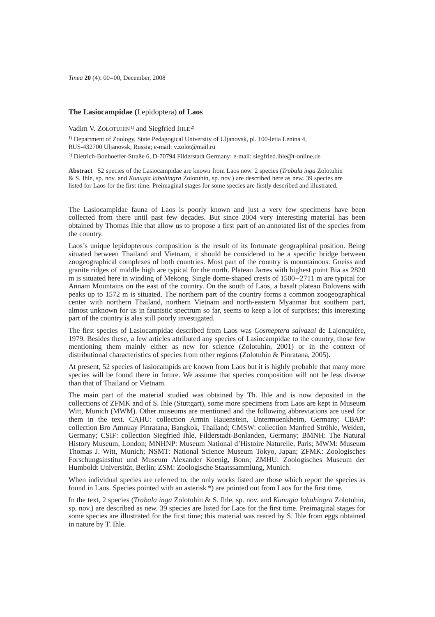# **The Lasiocampidae (**Lepidoptera) **of Laos**

Vadim V. ZOLOTUHIN<sup>1)</sup> and Siegfried IHLE<sup>2)</sup>

<sup>1)</sup> Department of Zoology, State Pedagogical University of Uljanovsk, pl. 100-letia Lenina 4, RUS-432700 Uljanovsk, Russia; e-mail: v.zolot@mail.ru 2) Dietrich-Bonhoeffer-Straße 6, D-70794 Filderstadt Germany; e-mail: siegfried.ihle@t-online.de

**Abstract** 52 species of the Lasiocampidae are known from Laos now. 2 species (*Trabala inga* Zolotuhin & S. Ihle, sp. nov. and *Kunugia labahingra* Zolotuhin, sp. nov.) are described here as new. 39 species are listed for Laos for the first time. Preimaginal stages for some species are firstly described and illustrated.

The Lasiocampidae fauna of Laos is poorly known and just a very few specimens have been collected from there until past few decades. But since 2004 very interesting material has been obtained by Thomas Ihle that allow us to propose a first part of an annotated list of the species from the country.

Laos's unique lepidopterous composition is the result of its fortunate geographical position. Being situated between Thailand and Vietnam, it should be considered to be a specific bridge between zoogeographical complexes of both countries. Most part of the country is mountainous. Gneiss and granite ridges of middle high are typical for the north. Plateau Jarres with highest point Bia as 2820 m is situated here in winding of Mekong. Single dome-shaped crests of 1500-2711 m are typical for Annam Mountains on the east of the country. On the south of Laos, a basalt plateau Bolovens with peaks up to 1572 m is situated. The northern part of the country forms a common zoogeographical center with northern Thailand, northern Vietnam and north-eastern Myanmar but southern part, almost unknown for us in faunistic spectrum so far, seems to keep a lot of surprises; this interesting part of the country is alas still poorly investigated.

The first species of Lasiocampidae described from Laos was *Cosmeptera salvazai* de Lajonquière, 1979. Besides these, a few articles attributed any species of Lasiocampidae to the country, those few mentioning them mainly either as new for science (Zolotuhin, 2001) or in the context of distributional characteristics of species from other regions (Zolotuhin & Pinratana, 2005).

At present, 52 species of lasiocampids are known from Laos but it is highly probable that many more species will be found there in future. We assume that species composition will not be less diverse than that of Thailand or Vietnam.

The main part of the material studied was obtained by Th. Ihle and is now deposited in the collections of ZFMK and of S. Ihle (Stuttgart), some more specimens from Laos are kept in Museum Witt, Munich (MWM). Other museums are mentioned and the following abbreviations are used for them in the text. CAHU: collection Armin Hauenstein, Untermuenkheim, Germany; CBAP: collection Bro Amnuay Pinratana, Bangkok, Thailand; CMSW: collection Manfred Ströhle, Weiden, Germany; CSIF: collection Siegfried Ihle, Filderstadt-Bonlanden, Germany; BMNH: The Natural History Museum, London; MNHNP: Museum National d'Histoire Naturelle, Paris; MWM: Museum Thomas J. Witt, Munich; NSMT: National Science Museum Tokyo, Japan; ZFMK: Zoologisches Forschungsinstitut und Museum Alexander Koenig**,** Bonn; ZMHU: Zoologisches Museum der Humboldt Universität, Berlin; ZSM: Zoologische Staatssammlung, Munich.

When individual species are referred to, the only works listed are those which report the species as found in Laos. Species pointed with an asterisk \*) are pointed out from Laos for the first time.

In the text, 2 species (*Trabala inga* Zolotuhin & S. Ihle, sp. nov. and *Kunugia labahingra* Zolotuhin, sp. nov.) are described as new. 39 species are listed for Laos for the first time. Preimaginal stages for some species are illustrated for the first time; this material was reared by S. Ihle from eggs obtained in nature by T. Ihle.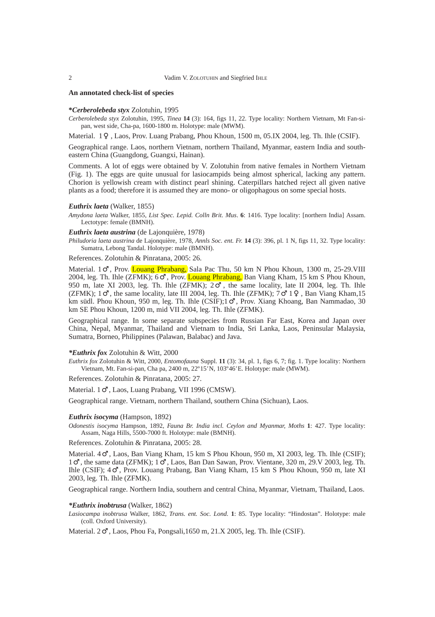#### **An annotated check-list of species**

#### **\****Cerberolebeda styx* Zolotuhin, 1995

*Cerberolebeda styx* Zolotuhin, 1995, *Tinea* **14** (3): 164, figs 11, 22. Type locality: Northern Vietnam, Mt Fan-sipan, west side, Cha-pa, 1600-1800 m. Holotype: male (MWM).

Material. 1 , Laos, Prov. Luang Prabang, Phou Khoun, 1500 m, 05.IX 2004, leg. Th. Ihle (CSIF).

Geographical range. Laos, northern Vietnam, northern Thailand, Myanmar, eastern India and southeastern China (Guangdong, Guangxi, Hainan).

Comments. A lot of eggs were obtained by V. Zolotuhin from native females in Northern Vietnam (Fig. 1). The eggs are quite unusual for lasiocampids being almost spherical, lacking any pattern. Chorion is yellowish cream with distinct pearl shining. Caterpillars hatched reject all given native plants as a food; therefore it is assumed they are mono- or oligophagous on some special hosts.

## *Euthrix laeta* (Walker, 1855)

*Amydona laeta* Walker, 1855, *List Spec. Lepid. Colln Brit. Mus*. **6**: 1416. Type locality: [northern India] Assam. Lectotype: female (BMNH).

# *Euthrix laeta austrina* (de Lajonquière, 1978)

*Philudoria laeta austrina* de Lajonquière, 1978, *Annls Soc. ent. Fr.* **14** (3): 396, pl. 1 N, figs 11, 32. Type locality: Sumatra, Lebong Tandal. Holotype: male (BMNH).

References. Zolotuhin & Pinratana, 2005: 26.

Material. 1 , Prov. Louang Phrabang, Sala Pac Thu, 50 km N Phou Khoun, 1300 m, 25-29. VIII 2004, leg. Th. Ihle (ZFMK); 6 , Prov. Louang Phrabang, Ban Viang Kham, 15 km S Phou Khoun, 950 m, late XI 2003, leg. Th. Ihle (ZFMK); 2 , the same locality, late II 2004, leg. Th. Ihle (ZFMK); 1 , the same locality, late III 2004, leg. Th. Ihle (ZFMK); 7 1 , Ban Viang Kham,15 km südl. Phou Khoun, 950 m, leg. Th. Ihle (CSIF);1 , Prov. Xiang Khoang, Ban Nammadao, 30 km SE Phou Khoun, 1200 m, mid VII 2004, leg. Th. Ihle (ZFMK).

Geographical range*.* In some separate subspecies from Russian Far East, Korea and Japan over China, Nepal, Myanmar, Thailand and Vietnam to India, Sri Lanka, Laos, Peninsular Malaysia, Sumatra, Borneo, Philippines (Palawan, Balabac) and Java.

#### *\*Euthrix fox* Zolotuhin & Witt, 2000

*Euthrix fox* Zolotuhin & Witt, 2000, *Entomofauna* Suppl. **11** (3): 34, pl. 1, figs 6, 7; fig. 1. Type locality: Northern Vietnam, Mt. Fan-si-pan, Cha pa, 2400 m, 22º15*'* N, 103º46*'*E. Holotype: male (MWM).

References. Zolotuhin & Pinratana, 2005: 27.

Material. 1 , Laos, Luang Prabang, VII 1996 (CMSW).

Geographical range. Vietnam, northern Thailand, southern China (Sichuan), Laos.

#### *Euthrix isocyma* (Hampson, 1892)

*Odonestis isocyma* Hampson, 1892, *Fauna Br. India incl. Ceylon and Myanmar, Moths* **1**: 427. Type locality: Assam, Naga Hills, 5500-7000 ft. Holotype: male (BMNH).

References. Zolotuhin & Pinratana, 2005: 28.

Material. 4 , Laos, Ban Viang Kham, 15 km S Phou Khoun, 950 m, XI 2003, leg. Th. Ihle (CSIF); 1 , the same data (ZFMK); 1 , Laos, Ban Dan Sawan, Prov. Vientane, 320 m, 29.V 2003, leg. Th. Ihle (CSIF); 4 , Prov. Louang Prabang, Ban Viang Kham, 15 km S Phou Khoun, 950 m, late XI 2003, leg. Th. Ihle (ZFMK).

Geographical range. Northern India, southern and central China, Myanmar, Vietnam, Thailand, Laos.

#### *\*Euthrix inobtrusa* (Walker, 1862)

*Lasiocampa inobtrusa* Walker, 1862, *Trans. ent. Soc. Lond.* **1**: 85. Type locality: "Hindostan". Holotype: male (coll. Oxford University).

Material. 2 , Laos, Phou Fa, Pongsali,1650 m, 21.X 2005, leg. Th. Ihle (CSIF).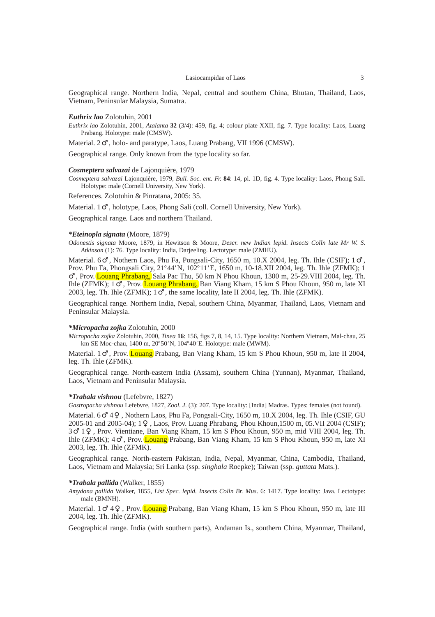Geographical range. Northern India, Nepal, central and southern China, Bhutan, Thailand, Laos, Vietnam, Peninsular Malaysia, Sumatra.

#### *Euthrix lao* Zolotuhin, 2001

*Euthrix lao* Zolotuhin, 2001, *Atalanta* **32** (3/4): 459, fig. 4; colour plate XXII, fig. 7. Type locality: Laos, Luang Prabang. Holotype: male (CMSW).

Material. 2 , holo- and paratype, Laos, Luang Prabang, VII 1996 (CMSW).

Geographical range. Only known from the type locality so far.

#### *Cosmeptera salvazai* de Lajonquière, 1979

*Cosmeptera salvazai* Lajonquière, 1979, *Bull. Soc. ent. Fr.* **84**: 14, pl. 1D, fig. 4. Type locality: Laos, Phong Sali. Holotype: male (Cornell University, New York).

References. Zolotuhin & Pinratana, 2005: 35.

Material. 1 , holotype, Laos, Phong Sali (coll. Cornell University, New York).

Geographical range*.* Laos and northern Thailand.

# *\*Eteinopla signata* (Moore, 1879)

*Odonestis signata* Moore, 1879, in Hewitson & Moore, *Descr. new Indian lepid. Insects Colln late Mr W. S. Atkinson* (1): 76. Type locality: India, Darjeeling. Lectotype: male (ZMHU).

Material. 6 , Nothern Laos, Phu Fa, Pongsali-City, 1650 m, 10.X 2004, leg. Th. Ihle (CSIF); 1 Prov. Phu Fa, Phongsali City, 21º44*'* N, 102º11*'*E, 1650 m, 10-18.XII 2004, leg. Th. Ihle (ZFMK); 1

, Prov. Louang Phrabang, Sala Pac Thu, 50 km N Phou Khoun, 1300 m, 25-29.VIII 2004, leg. Th. Ihle (ZFMK); 1 , Prov. Louang Phrabang, Ban Viang Kham, 15 km S Phou Khoun, 950 m, late XI 2003, leg. Th. Ihle (ZFMK); 1 , the same locality, late II 2004, leg. Th. Ihle (ZFMK).

Geographical range*.* Northern India, Nepal, southern China, Myanmar, Thailand, Laos, Vietnam and Peninsular Malaysia.

#### *\*Micropacha zojka* Zolotuhin, 2000

*Micropacha zojka* Zolotuhin, 2000, *Tinea* **16**: 156, figs 7, 8, 14, 15. Type locality: Northern Vietnam, Mal-chau, 25 km SE Moc-chau, 1400 m, 20º50*'* N, 104º40*'*E. Holotype: male (MWM).

Material. 1 , Prov. Louang Prabang, Ban Viang Kham, 15 km S Phou Khoun, 950 m, late II 2004, leg. Th. Ihle (ZFMK).

Geographical range*.* North-eastern India (Assam), southern China (Yunnan), Myanmar, Thailand, Laos, Vietnam and Peninsular Malaysia.

## *\*Trabala vishnou* (Lefebvre, 1827)

*Gastropacha vishnou* Lefebvre, 1827, *Zool*. *J*. (3): 207. Type locality: [India] Madras. Types: females (not found).

Material. 6 4 , Nothern Laos, Phu Fa, Pongsali-City, 1650 m, 10.X 2004, leg. Th. Ihle (CSIF, GU 2005-01 and 2005-04); 1 , Laos, Prov. Luang Phrabang, Phou Khoun,1500 m, 05.VII 2004 (CSIF); 3 1 , Prov. Vientiane, Ban Viang Kham, 15 km S Phou Khoun, 950 m, mid VIII 2004, leg. Th. Ihle (ZFMK); 4 , Prov. Louang Prabang, Ban Viang Kham, 15 km S Phou Khoun, 950 m, late XI 2003, leg. Th. Ihle (ZFMK).

Geographical range*.* North-eastern Pakistan, India, Nepal, Myanmar, China, Cambodia, Thailand, Laos, Vietnam and Malaysia; Sri Lanka (ssp. *singhala* Roepke); Taiwan (ssp. *guttata* Mats.).

#### *\*Trabala pallida* (Walker, 1855)

*Amydona pallida* Walker, 1855, *List Spec. lepid. Insects Colln Br. Mus*. 6: 1417. Type locality: Java. Lectotype: male (BMNH).

Material. 1 4 , Prov. Louang Prabang, Ban Viang Kham, 15 km S Phou Khoun, 950 m, late III 2004, leg. Th. Ihle (ZFMK).

Geographical range*.* India (with southern parts), Andaman Is., southern China, Myanmar, Thailand,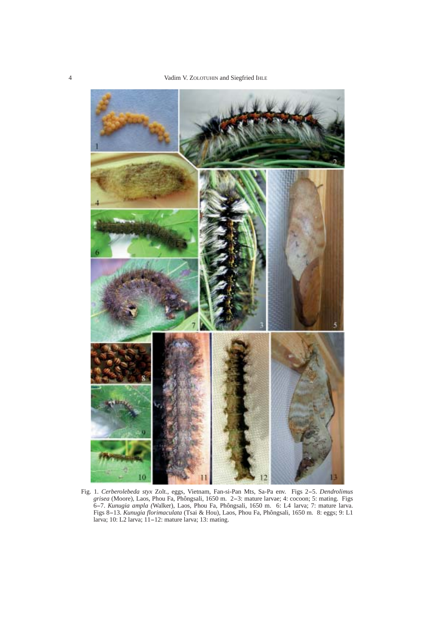

Fig. 1. *Cerberolebeda styx* Zolt., eggs, Vietnam, Fan-si-Pan Mts, Sa-Pa env. Figs 2-5. *Dendrolimus grisea* (Moore), Laos, Phou Fa, Phôngsali, 1650 m. 2-3: mature larvae; 4: cocoon; 5: mating. Figs 6-7. *Kunugia ampla (*Walker), Laos, Phou Fa, Phôngsali, 1650 m. 6: L4 larva; 7: mature larva. Figs 8-13. *Kunugia florimaculata* (Tsai & Hou), Laos, Phou Fa, Phôngsali, 1650 m. 8: eggs; 9: L1 larva; 10: L2 larva; 11-12: mature larva; 13: mating.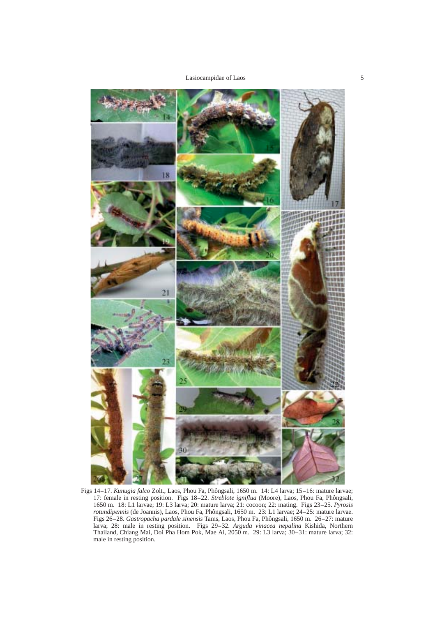Lasiocampidae of Laos 5



Figs 14-17. *Kunugia falco* Zolt., Laos, Phou Fa, Phôngsali, 1650 m. 14: L4 larva; 15-16: mature larvae; 17: female in resting position. Figs 18-22. *Streblote igniflua* (Moore), Laos, Phou Fa, Phôngsali, 1650 m. 18: L1 larvae; 19: L3 larva; 20: mature larva; 21: cocoon; 22: mating. Figs 23-25. *Pyrosis rotundipennis* (de Joannis), Laos, Phou Fa, Phôngsali, 1650 m. 23: L1 larvae; 24-25: mature larvae. Figs 26-28. *Gastropacha pardale sinensis* Tams, Laos, Phou Fa, Phôngsali, 1650 m. 26-27: mature larva; 28: male in resting position. Figs 29-32. *Arguda vinacea nepalina* Kishida, Northern Thailand, Chiang Mai, Doi Pha Hom Pok, Mae Ai, 2050 m. 29: L3 larva; 30-31: mature larva; 32: male in resting position.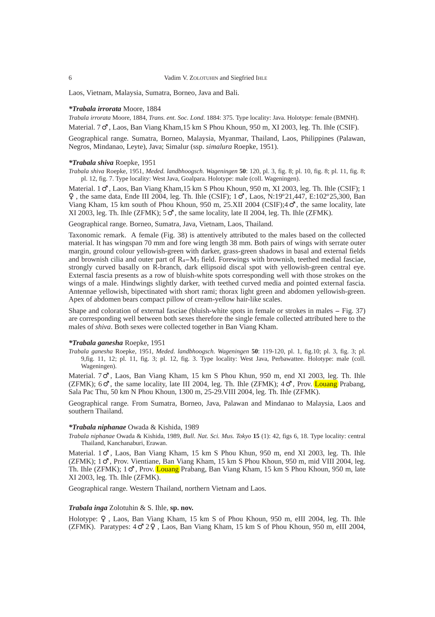Laos, Vietnam, Malaysia, Sumatra, Borneo, Java and Bali.

## *\*Trabala irrorata* Moore, 1884

*Trabala irrorata* Moore, 1884, *Trans. ent. Soc. Lond.* 1884: 375. Type locality: Java. Holotype: female (BMNH).

Material. 7 , Laos, Ban Viang Kham,15 km S Phou Khoun, 950 m, XI 2003, leg. Th. Ihle (CSIF).

Geographical range*.* Sumatra, Borneo, Malaysia, Myanmar, Thailand, Laos, Philippines (Palawan, Negros, Mindanao, Leyte), Java; Simalur (ssp. *simalura* Roepke, 1951).

#### *\*Trabala shiva* Roepke, 1951

*Trabala shiva* Roepke, 1951, *Meded. landbhoogsch. Wageningen* **50**: 120, pl. 3, fig. 8; pl. 10, fig. 8; pl. 11, fig. 8; pl. 12, fig. 7. Type locality: West Java, Goalpara. Holotype: male (coll. Wageningen).

Material. 1 , Laos, Ban Viang Kham, 15 km S Phou Khoun, 950 m, XI 2003, leg. Th. Ihle (CSIF); 1 , the same data, Ende III 2004, leg. Th. Ihle (CSIF); 1 , Laos, N:19º21,447, E:102º25,300, Ban Viang Kham, 15 km south of Phou Khoun, 950 m, 25.XII 2004 (CSIF);4 , the same locality, late XI 2003, leg. Th. Ihle (ZFMK); 5 , the same locality, late II 2004, leg. Th. Ihle (ZFMK).

Geographical range*.* Borneo, Sumatra, Java, Vietnam, Laos, Thailand.

Taxonomic remark. A female (Fig. 38) is attentively attributed to the males based on the collected material. It has wingspan 70 mm and fore wing length 38 mm. Both pairs of wings with serrate outer margin, ground colour yellowish-green with darker, grass-green shadows in basal and external fields and brownish cilia and outer part of  $R_4 - M_3$  field. Forewings with brownish, teethed medial fasciae, strongly curved basally on R-branch, dark ellipsoid discal spot with yellowish-green central eye. External fascia presents as a row of bluish-white spots corresponding well with those strokes on the wings of a male. Hindwings slightly darker, with teethed curved media and pointed external fascia. Antennae yellowish, bipectinated with short rami; thorax light green and abdomen yellowish-green. Apex of abdomen bears compact pillow of cream-yellow hair-like scales.

Shape and coloration of external fasciae (bluish-white spots in female or strokes in males - Fig. 37) are corresponding well between both sexes therefore the single female collected attributed here to the males of *shiva*. Both sexes were collected together in Ban Viang Kham.

#### *\*Trabala ganesha* Roepke, 1951

*Trabala ganesha* Roepke, 1951, *Meded. landbhoogsch. Wageningen* **50**: 119-120, pl. 1, fig.10; pl. 3, fig. 3; pl. 9,fig. 11, 12; pl. 11, fig. 3; pl. 12, fig. 3. Type locality: West Java, Perbawattee. Holotype: male (coll. Wageningen).

Material. 7 , Laos, Ban Viang Kham, 15 km S Phou Khun, 950 m, end XI 2003, leg. Th. Ihle (ZFMK); 6 , the same locality, late III 2004, leg. Th. Ihle (ZFMK); 4 , Prov. **Louang** Prabang, Sala Pac Thu, 50 km N Phou Khoun, 1300 m, 25-29.VIII 2004, leg. Th. Ihle (ZFMK).

Geographical range*.* From Sumatra, Borneo, Java, Palawan and Mindanao to Malaysia, Laos and southern Thailand.

#### *\*Trabala niphanae* Owada & Kishida, 1989

*Trabala niphanae* Owada & Kishida, 1989, *Bull. Nat. Sci. Mus. Tokyo* **15** (1): 42, figs 6, 18. Type locality: central Thailand, Kanchanaburi, Erawan.

Material. 1 , Laos, Ban Viang Kham, 15 km S Phou Khun, 950 m, end XI 2003, leg. Th. Ihle (ZFMK); 1 , Prov. Vientiane, Ban Viang Kham, 15 km S Phou Khoun, 950 m, mid VIII 2004, leg. Th. Ihle (ZFMK); 1 , Prov. Louang Prabang, Ban Viang Kham, 15 km S Phou Khoun, 950 m, late XI 2003, leg. Th. Ihle (ZFMK).

Geographical range*.* Western Thailand, northern Vietnam and Laos.

## *Trabala inga* Zolotuhin & S. Ihle, **sp. nov.**

Holotype: , Laos, Ban Viang Kham, 15 km S of Phou Khoun, 950 m, eIII 2004, leg. Th. Ihle (ZFMK). Paratypes: 4 2 , Laos, Ban Viang Kham, 15 km S of Phou Khoun, 950 m, eIII 2004,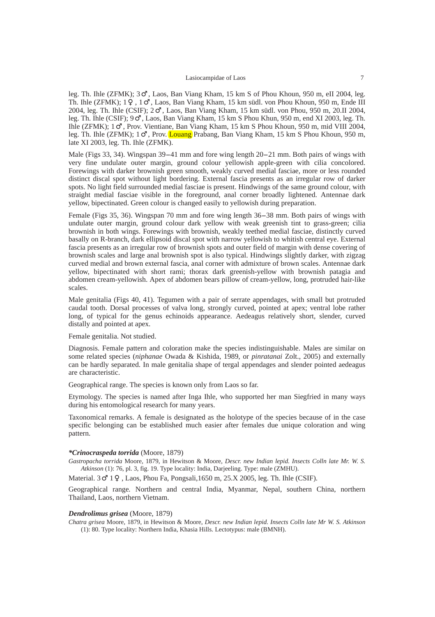leg. Th. Ihle (ZFMK); 3 , Laos, Ban Viang Kham, 15 km S of Phou Khoun, 950 m, eII 2004, leg. Th. Ihle (ZFMK); 1 , 1 , Laos, Ban Viang Kham, 15 km südl. von Phou Khoun, 950 m, Ende III 2004, leg. Th. Ihle (CSIF); 2 , Laos, Ban Viang Kham, 15 km südl. von Phou, 950 m, 20.II 2004, leg. Th. Ihle (CSIF); 9 , Laos, Ban Viang Kham, 15 km S Phou Khun, 950 m, end XI 2003, leg. Th. Ihle (ZFMK); 1 , Prov. Vientiane, Ban Viang Kham, 15 km S Phou Khoun, 950 m, mid VIII 2004, leg. Th. Ihle (ZFMK); 1 , Prov. Louang Prabang, Ban Viang Kham, 15 km S Phou Khoun, 950 m, late XI 2003, leg. Th. Ihle (ZFMK).

Male (Figs 33, 34). Wingspan 39-41 mm and fore wing length 20-21 mm. Both pairs of wings with very fine undulate outer margin, ground colour yellowish apple-green with cilia concolored. Forewings with darker brownish green smooth, weakly curved medial fasciae, more or less rounded distinct discal spot without light bordering. External fascia presents as an irregular row of darker spots. No light field surrounded medial fasciae is present. Hindwings of the same ground colour, with straight medial fasciae visible in the foreground, anal corner broadly lightened. Antennae dark yellow, bipectinated. Green colour is changed easily to yellowish during preparation.

Female (Figs 35, 36). Wingspan 70 mm and fore wing length 36-38 mm. Both pairs of wings with undulate outer margin, ground colour dark yellow with weak greenish tint to grass-green; cilia brownish in both wings. Forewings with brownish, weakly teethed medial fasciae, distinctly curved basally on R-branch, dark ellipsoid discal spot with narrow yellowish to whitish central eye. External fascia presents as an irregular row of brownish spots and outer field of margin with dense covering of brownish scales and large anal brownish spot is also typical. Hindwings slightly darker, with zigzag curved medial and brown external fascia, anal corner with admixture of brown scales. Antennae dark yellow, bipectinated with short rami; thorax dark greenish-yellow with brownish patagia and abdomen cream-yellowish. Apex of abdomen bears pillow of cream-yellow, long, protruded hair-like scales.

Male genitalia (Figs 40, 41). Tegumen with a pair of serrate appendages, with small but protruded caudal tooth. Dorsal processes of valva long, strongly curved, pointed at apex; ventral lobe rather long, of typical for the genus echinoids appearance. Aedeagus relatively short, slender, curved distally and pointed at apex.

# Female genitalia. Not studied.

Diagnosis. Female pattern and coloration make the species indistinguishable. Males are similar on some related species (*niphanae* Owada & Kishida, 1989, or *pinratanai* Zolt., 2005) and externally can be hardly separated. In male genitalia shape of tergal appendages and slender pointed aedeagus are characteristic.

Geographical range. The species is known only from Laos so far.

Etymology. The species is named after Inga Ihle, who supported her man Siegfried in many ways during his entomological research for many years.

Taxonomical remarks. A female is designated as the holotype of the species because of in the case specific belonging can be established much easier after females due unique coloration and wing pattern.

#### *\*Crinocraspeda torrida* (Moore, 1879)

*Gastropacha torrida* Moore, 1879, in Hewitson & Moore, *Descr. new Indian lepid. Insects Colln late Mr. W. S. Atkinson* (1): 76, pl. 3, fig. 19. Type locality: India, Darjeeling. Type: male (ZMHU).

Material. 3 1 , Laos, Phou Fa, Pongsali,1650 m, 25.X 2005, leg. Th. Ihle (CSIF).

Geographical range*.* Northern and central India, Myanmar, Nepal, southern China, northern Thailand, Laos, northern Vietnam.

#### *Dendrolimus grisea* (Moore, 1879)

*Chatra grisea* Moore, 1879, in Hewitson & Moore, *Descr. new Indian lepid. Insects Colln late Mr W. S. Atkinson* (1): 80. Type locality: Northern India, Khasia Hills. Lectotypus: male (BMNH).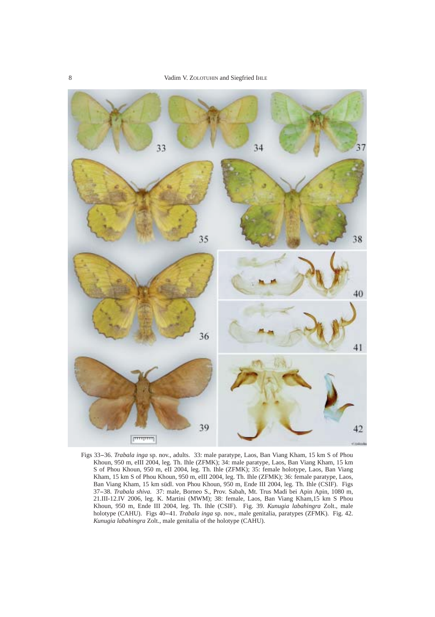

Figs 33-36. *Trabala inga* sp. nov., adults. 33: male paratype, Laos, Ban Viang Kham, 15 km S of Phou Khoun, 950 m, eIII 2004, leg. Th. Ihle (ZFMK); 34: male paratype, Laos, Ban Viang Kham, 15 km S of Phou Khoun, 950 m, eII 2004, leg. Th. Ihle (ZFMK); 35: female holotype, Laos, Ban Viang Kham, 15 km S of Phou Khoun, 950 m, eIII 2004, leg. Th. Ihle (ZFMK); 36: female paratype, Laos, Ban Viang Kham, 15 km südl. von Phou Khoun, 950 m, Ende III 2004, leg. Th. Ihle (CSIF). Figs 37-38. *Trabala shiva.* 37: male, Borneo S., Prov. Sabah, Mt. Trus Madi bei Apin Apin, 1080 m, 21.III-12.IV 2006, leg. K. Martini (MWM); 38: female, Laos, Ban Viang Kham,15 km S Phou Khoun, 950 m, Ende III 2004, leg. Th. Ihle (CSIF). Fig. 39. *Kunugia labahingra* Zolt., male holotype (CAHU). Figs 40-41. *Trabala inga* sp. nov., male genitalia, paratypes (ZFMK). Fig. 42. *Kunugia labahingra* Zolt., male genitalia of the holotype (CAHU).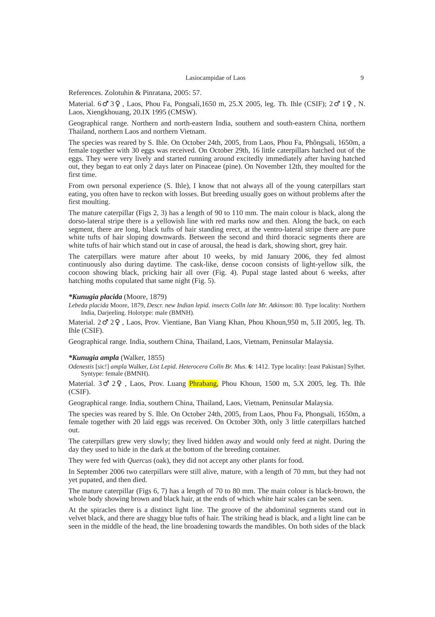References. Zolotuhin & Pinratana, 2005: 57.

Material. 6 3 , Laos, Phou Fa, Pongsali,1650 m, 25.X 2005, leg. Th. Ihle (CSIF); 2 1 , N. Laos, Xiengkhouang, 20.IX 1995 (CMSW).

Geographical range*.* Northern and north-eastern India, southern and south-eastern China, northern Thailand, northern Laos and northern Vietnam.

The species was reared by S. Ihle. On October 24th, 2005, from Laos, Phou Fa, Phôngsali, 1650m, a female together with 30 eggs was received. On October 29th, 16 little caterpillars hatched out of the eggs. They were very lively and started running around excitedly immediately after having hatched out, they began to eat only 2 days later on Pinaceae (pine). On November 12th, they moulted for the first time.

From own personal experience (S. Ihle), I know that not always all of the young caterpillars start eating, you often have to reckon with losses. But breeding usually goes on without problems after the first moulting.

The mature caterpillar (Figs 2, 3) has a length of 90 to 110 mm. The main colour is black, along the dorso-lateral stripe there is a yellowish line with red marks now and then. Along the back, on each segment, there are long, black tufts of hair standing erect, at the ventro-lateral stripe there are pure white tufts of hair sloping downwards. Between the second and third thoracic segments there are white tufts of hair which stand out in case of arousal, the head is dark, showing short, grey hair.

The caterpillars were mature after about 10 weeks, by mid January 2006, they fed almost continuously also during daytime. The cask-like, dense cocoon consists of light-yellow silk, the cocoon showing black, pricking hair all over (Fig. 4). Pupal stage lasted about 6 weeks, after hatching moths copulated that same night (Fig. 5).

# *\*Kunugia placida* (Moore, 1879)

*Lebeda placida* Moore, 1879, *Descr. new Indian lepid. insects Colln late Mr. Atkinson*: 80. Type locality: Northern India, Darjeeling. Holotype: male (BMNH).

Material. 2 2 , Laos, Prov. Vientiane, Ban Viang Khan, Phou Khoun,950 m, 5.II 2005, leg. Th. Ihle (CSIF).

Geographical range*.* India, southern China, Thailand, Laos, Vietnam, Peninsular Malaysia.

#### *\*Kunugia ampla* (Walker, 1855)

*Odenestis* [sic!] *ampla* Walker, *List Lepid. Heterocera Colln Br. Mus*. **6**: 1412. Type locality: [east Pakistan] Sylhet. Syntype: female (BMNH).

Material. 3 2 , Laos, Prov. Luang *Phrabang*, Phou Khoun, 1500 m, 5.X 2005, leg. Th. Ihle (CSIF).

Geographical range*.* India, southern China, Thailand, Laos, Vietnam, Peninsular Malaysia.

The species was reared by S. Ihle. On October 24th, 2005, from Laos, Phou Fa, Phongsali, 1650m, a female together with 20 laid eggs was received. On October 30th, only 3 little caterpillars hatched out.

The caterpillars grew very slowly; they lived hidden away and would only feed at night. During the day they used to hide in the dark at the bottom of the breeding container.

They were fed with *Quercus* (oak), they did not accept any other plants for food.

In September 2006 two caterpillars were still alive, mature, with a length of 70 mm, but they had not yet pupated, and then died.

The mature caterpillar (Figs 6, 7) has a length of 70 to 80 mm. The main colour is black-brown, the whole body showing brown and black hair, at the ends of which white hair scales can be seen.

At the spiracles there is a distinct light line. The groove of the abdominal segments stand out in velvet black, and there are shaggy blue tufts of hair. The striking head is black, and a light line can be seen in the middle of the head, the line broadening towards the mandibles. On both sides of the black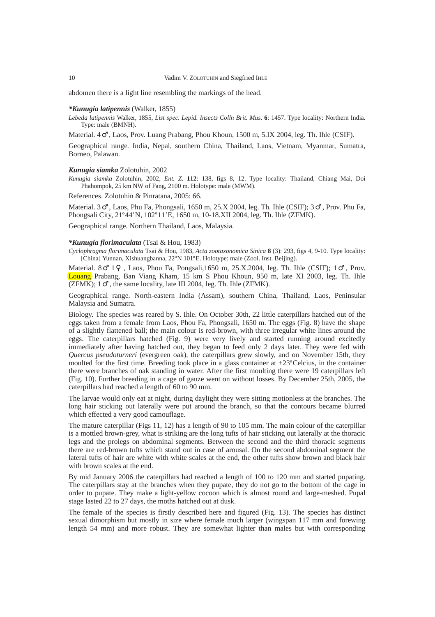abdomen there is a light line resembling the markings of the head.

# *\*Kunugia latipennis* (Walker, 1855)

*Lebeda latipennis* Walker, 1855, *List spec. Lepid. Insects Colln Brit. Mus*. **6**: 1457. Type locality: Northern India. Type: male (BMNH).

Material. 4 , Laos, Prov. Luang Prabang, Phou Khoun, 1500 m, 5.IX 2004, leg. Th. Ihle (CSIF).

Geographical range*.* India, Nepal, southern China, Thailand, Laos, Vietnam, Myanmar, Sumatra, Borneo, Palawan.

#### *Kunugia siamka* Zolotuhin, 2002

*Kunugia siamka* Zolotuhin, 2002, *Ent. Z.* **112**: 138, figs 8, 12. Type locality: Thailand, Chiang Mai, Doi Phahompok, 25 km NW of Fang, 2100 m. Holotype: male (MWM).

References. Zolotuhin & Pinratana, 2005: 66.

Material. 3 , Laos, Phu Fa, Phongsali, 1650 m, 25.X 2004, leg. Th. Ihle (CSIF); 3 , Prov. Phu Fa, Phongsali City, 21º44*'* N, 102º11*'*E, 1650 m, 10-18.XII 2004, leg. Th. Ihle (ZFMK).

Geographical range*.* Northern Thailand, Laos, Malaysia.

#### *\*Kunugia florimaculata* (Tsai & Hou, 1983)

*Cyclophragma florimaculata* Tsai & Hou, 1983, *Acta zootaxonomica Sinica* **8** (3): 293, figs 4, 9-10. Type locality: [China] Yunnan, Xishuangbanna, 22ºN 101ºE. Holotype: male (Zool. Inst. Beijing).

Material. 8 1 , Laos, Phou Fa, Pongsali,1650 m, 25.X.2004, leg. Th. Ihle (CSIF); 1 , Prov. Louang Prabang, Ban Viang Kham, 15 km S Phou Khoun, 950 m, late XI 2003, leg. Th. Ihle (ZFMK); 1 , the same locality, late III 2004, leg. Th. Ihle (ZFMK).

Geographical range*.* North-eastern India (Assam), southern China, Thailand, Laos, Peninsular Malaysia and Sumatra.

Biology. The species was reared by S. Ihle. On October 30th, 22 little caterpillars hatched out of the eggs taken from a female from Laos, Phou Fa, Phongsali, 1650 m. The eggs (Fig. 8) have the shape of a slightly flattened ball; the main colour is red-brown, with three irregular white lines around the eggs. The caterpillars hatched (Fig. 9) were very lively and started running around excitedly immediately after having hatched out, they began to feed only 2 days later. They were fed with *Quercus pseudoturneri* (evergreen oak), the caterpillars grew slowly, and on November 15th, they moulted for the first time. Breeding took place in a glass container at +23ºCelcius, in the container there were branches of oak standing in water. After the first moulting there were 19 caterpillars left (Fig. 10). Further breeding in a cage of gauze went on without losses. By December 25th, 2005, the caterpillars had reached a length of 60 to 90 mm.

The larvae would only eat at night, during daylight they were sitting motionless at the branches. The long hair sticking out laterally were put around the branch, so that the contours became blurred which effected a very good camouflage.

The mature caterpillar (Figs 11, 12) has a length of 90 to 105 mm. The main colour of the caterpillar is a mottled brown-grey, what is striking are the long tufts of hair sticking out laterally at the thoracic legs and the prolegs on abdominal segments. Between the second and the third thoracic segments there are red-brown tufts which stand out in case of arousal. On the second abdominal segment the lateral tufts of hair are white with white scales at the end, the other tufts show brown and black hair with brown scales at the end.

By mid January 2006 the caterpillars had reached a length of 100 to 120 mm and started pupating. The caterpillars stay at the branches when they pupate, they do not go to the bottom of the cage in order to pupate. They make a light-yellow cocoon which is almost round and large-meshed. Pupal stage lasted 22 to 27 days, the moths hatched out at dusk.

The female of the species is firstly described here and figured (Fig. 13). The species has distinct sexual dimorphism but mostly in size where female much larger (wingspan 117 mm and forewing length 54 mm) and more robust. They are somewhat lighter than males but with corresponding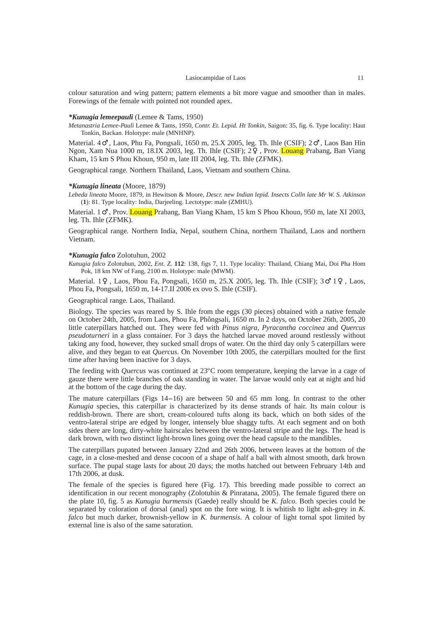colour saturation and wing pattern; pattern elements a bit more vague and smoother than in males. Forewings of the female with pointed not rounded apex.

## *\*Kunugia lemeepauli* (Lemee & Tams, 1950)

*Metanastria Lemee-Pauli* Lemee & Tams, 1950, *Contr. Et. Lepid. Ht Tonkin*, Saigon: 35, fig. 6. Type locality: Haut Tonkin, Backan. Holotype: male (MNHNP).

Material. 4 , Laos, Phu Fa, Pongsali, 1650 m, 25.X 2005, leg. Th. Ihle (CSIF); 2 , Laos Ban Hin Ngon, Xam Nua 1000 m, 18.IX 2003, leg. Th. Ihle (CSIF); 2 , Prov. Louang Prabang, Ban Viang Kham, 15 km S Phou Khoun, 950 m, late III 2004, leg. Th. Ihle (ZFMK).

Geographical range*.* Northern Thailand, Laos, Vietnam and southern China.

#### *\*Kunugia lineata* (Moore, 1879)

*Lebeda lineata* Moore, 1879, in Hewitson & Moore, *Descr. new Indian lepid. Insects Colln late Mr W. S. Atkinson* (**1**): 81. Type locality: India, Darjeeling. Lectotype: male (ZMHU).

Material. 1 , Prov. Louang Prabang, Ban Viang Kham, 15 km S Phou Khoun, 950 m, late XI 2003, leg. Th. Ihle (ZFMK).

Geographical range*.* Northern India, Nepal, southern China, northern Thailand, Laos and northern Vietnam.

# *\*Kunugia falco* Zolotuhun, 2002

*Kunugia falco* Zolotuhun, 2002, *Ent. Z*. **112**: 138, figs 7, 11. Type locality: Thailand, Chiang Mai, Doi Pha Hom Pok, 18 km NW of Fang, 2100 m. Holotype: male (MWM).

Material. 1 , Laos, Phou Fa, Pongsali, 1650 m, 25.X 2005, leg. Th. Ihle (CSIF); 3 1 , Laos, Phou Fa, Pongsali, 1650 m, 14-17.II 2006 ex ovo S. Ihle (CSIF).

## Geographical range*.* Laos, Thailand.

Biology. The species was reared by S. Ihle from the eggs (30 pieces) obtained with a native female on October 24th, 2005, from Laos, Phou Fa, Phôngsali, 1650 m. In 2 days, on October 26th, 2005, 20 little caterpillars hatched out. They were fed with *Pinus nigra*, *Pyracantha coccinea* and *Quercus pseudoturneri* in a glass container. For 3 days the hatched larvae moved around restlessly without taking any food, however, they sucked small drops of water. On the third day only 5 caterpillars were alive, and they began to eat *Quercus*. On November 10th 2005, the caterpillars moulted for the first time after having been inactive for 3 days.

The feeding with *Quercus* was continued at 23ºC room temperature, keeping the larvae in a cage of gauze there were little branches of oak standing in water. The larvae would only eat at night and hid at the bottom of the cage during the day.

The mature caterpillars (Figs 14-16) are between 50 and 65 mm long. In contrast to the other *Kunugia* species, this caterpillar is characterized by its dense strands of hair. Its main colour is reddish-brown. There are short, cream-coloured tufts along its back, which on both sides of the ventro-lateral stripe are edged by longer, intensely blue shaggy tufts. At each segment and on both sides there are long, dirty-white hairscales between the ventro-lateral stripe and the legs. The head is dark brown, with two distinct light-brown lines going over the head capsule to the mandibles.

The caterpillars pupated between January 22nd and 26th 2006, between leaves at the bottom of the cage, in a close-meshed and dense cocoon of a shape of half a ball with almost smooth, dark brown surface. The pupal stage lasts for about 20 days; the moths hatched out between February 14th and 17th 2006, at dusk.

The female of the species is figured here (Fig. 17). This breeding made possible to correct an identification in our recent monography (Zolotuhin & Pinratana, 2005). The female figured there on the plate 10, fig. 5 as *Kunugia burmensis* (Gaede) really should be *K. falco*. Both species could be separated by coloration of dorsal (anal) spot on the fore wing. It is whitish to light ash-grey in *K. falco* but much darker, brownish-yellow in *K. burmensis*. A colour of light tornal spot limited by external line is also of the same saturation.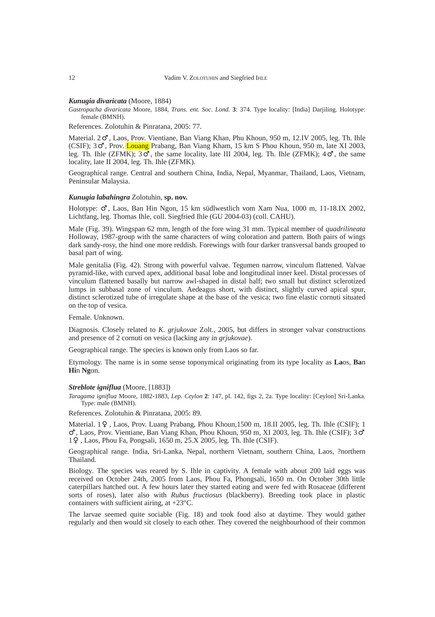#### *Kunugia divaricata* (Moore, 1884)

*Gastropacha divaricata* Moore, 1884, *Trans. ent. Soc. Lond.* **3**: 374. Type locality: [India] Darjiling. Holotype: female (BMNH).

References. Zolotuhin & Pinratana, 2005: 77.

Material. 2 , Laos, Prov. Vientiane, Ban Viang Khan, Phu Khoun, 950 m, 12.IV 2005, leg. Th. Ihle (CSIF); 3 , Prov. Louang Prabang, Ban Viang Kham, 15 km S Phou Khoun, 950 m, late XI 2003, leg. Th. Ihle (ZFMK); 3 , the same locality, late III 2004, leg. Th. Ihle (ZFMK); 4 , the same locality, late II 2004, leg. Th. Ihle (ZFMK).

Geographical range*.* Central and southern China, India, Nepal, Myanmar, Thailand, Laos, Vietnam, Peninsular Malaysia.

## *Kunugia labahingra* Zolotuhin, **sp. nov.**

Holotype: , Laos, Ban Hin Ngon, 15 km südlwestlich vom Xam Nua, 1000 m, 11-18.IX 2002, Lichtfang, leg. Thomas Ihle, coll. Siegfried Ihle (GU 2004-03) (coll. CAHU).

Male (Fig. 39). Wingspan 62 mm, length of the fore wing 31 mm. Typical member of *quadrilineata* Holloway, 1987-group with the same characters of wing coloration and pattern. Both pairs of wings dark sandy-rosy, the hind one more reddish. Forewings with four darker transversal bands grouped to basal part of wing.

Male genitalia (Fig. 42). Strong with powerful valvae. Tegumen narrow, vinculum flattened. Valvae pyramid-like, with curved apex, additional basal lobe and longitudinal inner keel. Distal processes of vinculum flattened basally but narrow awl-shaped in distal half; two small but distinct sclerotized lumps in subbasal zone of vinculum. Aedeagus short, with distinct, slightly curved apical spur, distinct sclerotized tube of irregulate shape at the base of the vesica; two fine elastic cornuti situated on the top of vesica.

Female. Unknown.

Diagnosis. Closely related to *K. grjukovae* Zolt., 2005, but differs in stronger valvar constructions and presence of 2 cornuti on vesica (lacking any in *grjukovae*).

Geographical range. The species is known only from Laos so far.

Etymology. The name is in some sense toponymical originating from its type locality as **La**os, **Ba**n **Hi**n **Ng**on.

#### *Streblote igniflua* (Moore, [1883])

*Taragama igniflua* Moore, 1882-1883, *Lep. Ceylon* **2**: 147, pl. 142, figs 2, 2a. Type locality: [Ceylon] Sri-Lanka. Type: male (BMNH).

References*.* Zolotuhin & Pinratana, 2005: 89.

Material. 1 , Laos, Prov. Luang Prabang, Phou Khoun,1500 m, 18.II 2005, leg. Th. Ihle (CSIF); 1 , Laos, Prov. Vientiane, Ban Viang Khan, Phou Khoun, 950 m, XI 2003, leg. Th. Ihle (CSIF); 3

1 , Laos, Phou Fa, Pongsali, 1650 m, 25.X 2005, leg. Th. Ihle (CSIF).

Geographical range*.* India, Sri-Lanka, Nepal, northern Vietnam, southern China, Laos, ?northern Thailand.

Biology*.* The species was reared by S. Ihle in captivity. A female with about 200 laid eggs was received on October 24th, 2005 from Laos, Phou Fa, Phongsali, 1650 m. On October 30th little caterpillars hatched out. A few hours later they started eating and were fed with Rosaceae (different sorts of roses), later also with *Rubus fructiosus* (blackberry). Breeding took place in plastic containers with sufficient airing, at +23ºC.

The larvae seemed quite sociable (Fig. 18) and took food also at daytime. They would gather regularly and then would sit closely to each other. They covered the neighbourhood of their common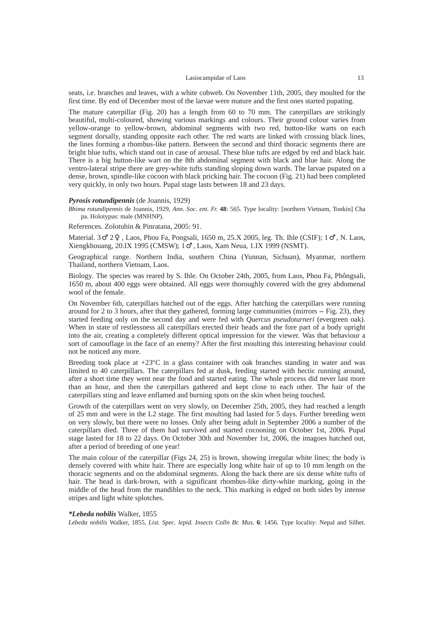seats, i.e. branches and leaves, with a white cobweb. On November 11th, 2005, they moulted for the first time. By end of December most of the larvae were mature and the first ones started pupating.

The mature caterpillar (Fig. 20) has a length from 60 to 70 mm. The caterpillars are strikingly beautiful, multi-coloured, showing various markings and colours. Their ground colour varies from yellow-orange to yellow-brown, abdominal segments with two red, button-like warts on each segment dorsally, standing opposite each other. The red warts are linked with crossing black lines, the lines forming a rhombus-like pattern. Between the second and third thoracic segments there are bright blue tufts, which stand out in case of arousal. These blue tufts are edged by red and black hair. There is a big button-like wart on the 8th abdominal segment with black and blue hair. Along the ventro-lateral stripe there are grey-white tufts standing sloping down wards. The larvae pupated on a dense, brown, spindle-like cocoon with black pricking hair. The cocoon (Fig. 21) had been completed very quickly, in only two hours. Pupal stage lasts between 18 and 23 days.

#### *Pyrosis rotundipennis* (de Joannis, 1929)

*Bhima rotundipennis* de Joannis, 1929, *Ann. Soc. ent. Fr.* **48**: 565. Type locality: [northern Vietnam, Tonkin] Cha pa. Holotypus: male (MNHNP).

References*.* Zolotuhin & Pinratana, 2005: 91.

Material. 3 2 , Laos, Phou Fa, Pongsali, 1650 m, 25.X 2005, leg. Th. Ihle (CSIF); 1 , N. Laos, Xiengkhouang, 20.IX 1995 (CMSW); 1 , Laos, Xam Neua, 1.IX 1999 (NSMT).

Geographical range. Northern India, southern China (Yunnan, Sichuan), Myanmar, northern Thailand, northern Vietnam, Laos.

Biology*.* The species was reared by S. Ihle. On October 24th, 2005, from Laos, Phou Fa, Phôngsali, 1650 m, about 400 eggs were obtained. All eggs were thoroughly covered with the grey abdomenal wool of the female.

On November 6th, caterpillars hatched out of the eggs. After hatching the caterpillars were running around for 2 to 3 hours, after that they gathered, forming large communities (mirrors - Fig. 23), they started feeding only on the second day and were fed with *Quercus pseudoturneri* (evergreen oak). When in state of restlessness all caterpillars erected their heads and the fore part of a body upright into the air, creating a completely different optical impression for the viewer. Was that behaviour a sort of camouflage in the face of an enemy? After the first moulting this interesting behaviour could not be noticed any more.

Breeding took place at  $+23^{\circ}$ C in a glass container with oak branches standing in water and was limited to 40 caterpillars. The caterpillars fed at dusk, feeding started with hectic running around, after a short time they went near the food and started eating. The whole process did never last more than an hour, and then the caterpillars gathered and kept close to each other. The hair of the caterpillars sting and leave enflamed and burning spots on the skin when being touched.

Growth of the caterpillars went on very slowly, on December 25th, 2005, they had reached a length of 25 mm and were in the L2 stage. The first moulting had lasted for 5 days. Further breeding went on very slowly, but there were no losses. Only after being adult in September 2006 a number of the caterpillars died. Three of them had survived and started cocooning on October 1st, 2006. Pupal stage lasted for 18 to 22 days. On October 30th and November 1st, 2006, the imagoes hatched out, after a period of breeding of one year!

The main colour of the caterpillar (Figs 24, 25) is brown, showing irregular white lines; the body is densely covered with white hair. There are especially long white hair of up to 10 mm length on the thoracic segments and on the abdominal segments. Along the back there are six dense white tufts of hair. The head is dark-brown, with a significant rhombus-like dirty-white marking, going in the middle of the head from the mandibles to the neck. This marking is edged on both sides by intense stripes and light white splotches.

## *\*Lebeda nobilis* Walker, 1855

*Lebeda nobilis* Walker, 1855, *List. Spec. lepid. Insects Colln Br. Mus*. **6**: 1456. Type locality: Nepal and Silhet.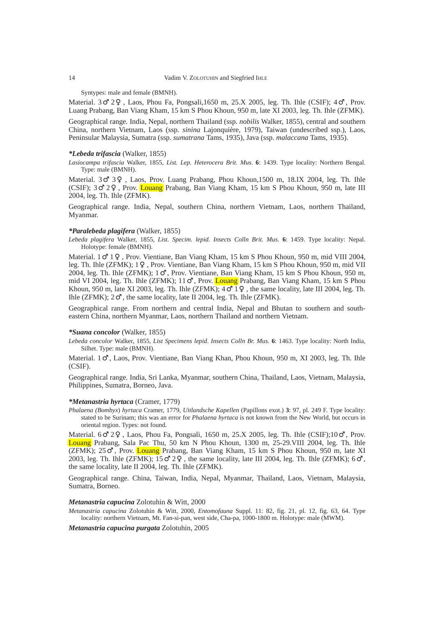## 14 Vadim V. ZOLOTUHIN and Siegfried IHLE

Syntypes: male and female (BMNH).

Material. 3 2 , Laos, Phou Fa, Pongsali,1650 m, 25.X 2005, leg. Th. Ihle (CSIF); 4 , Prov. Luang Prabang, Ban Viang Kham, 15 km S Phou Khoun, 950 m, late XI 2003, leg. Th. Ihle (ZFMK).

Geographical range*.* India, Nepal, northern Thailand (ssp. *nobilis* Walker, 1855), central and southern China, northern Vietnam, Laos (ssp. *sinina* Lajonquière, 1979), Taiwan (undescribed ssp.), Laos, Peninsular Malaysia, Sumatra (ssp. *sumatrana* Tams, 1935), Java (ssp. *malaccana* Tams, 1935).

## *\*Lebeda trifascia* (Walker, 1855)

*Lasiocampa trifascia* Walker, 1855, *List. Lep. Heterocera Brit. Mus*. **6**: 1439. Type locality: Northern Bengal. Type: male (BMNH).

Material. 3 3 , Laos, Prov. Luang Prabang, Phou Khoun,1500 m, 18.IX 2004, leg. Th. Ihle (CSIF); 3 2 , Prov. Louang Prabang, Ban Viang Kham, 15 km S Phou Khoun, 950 m, late III 2004, leg. Th. Ihle (ZFMK).

Geographical range*.* India, Nepal, southern China, northern Vietnam, Laos, northern Thailand, Myanmar.

# *\*Paralebeda plagifera* (Walker, 1855)

*Lebeda plagifera* Walker, 1855, *List. Specim. lepid. Insects Colln Brit. Mus*. **6**: 1459. Type locality: Nepal. Holotype: female (BMNH).

Material. 1 1 , Prov. Vientiane, Ban Viang Kham, 15 km S Phou Khoun, 950 m, mid VIII 2004, leg. Th. Ihle (ZFMK); 1 , Prov. Vientiane, Ban Viang Kham, 15 km S Phou Khoun, 950 m, mid VII 2004, leg. Th. Ihle (ZFMK); 1 , Prov. Vientiane, Ban Viang Kham, 15 km S Phou Khoun, 950 m, mid VI 2004, leg. Th. Ihle (ZFMK); 11 , Prov. Louang Prabang, Ban Viang Kham, 15 km S Phou Khoun, 950 m, late XI 2003, leg. Th. Ihle (ZFMK);  $4 \quad 1$ , the same locality, late III 2004, leg. Th. Ihle (ZFMK); 2 , the same locality, late II 2004, leg. Th. Ihle (ZFMK).

Geographical range*.* From northern and central India, Nepal and Bhutan to southern and southeastern China, northern Myanmar, Laos, northern Thailand and northern Vietnam.

#### *\*Suana concolor* (Walker, 1855)

*Lebeda concolor* Walker, 1855, *List Specimens lepid*. *Insects Colln Br. Mus*. **6**: 1463. Type locality: North India, Silhet. Type: male (BMNH).

Material. 1 , Laos, Prov. Vientiane, Ban Viang Khan, Phou Khoun, 950 m, XI 2003, leg. Th. Ihle (CSIF).

Geographical range*.* India, Sri Lanka, Myanmar, southern China, Thailand, Laos, Vietnam, Malaysia, Philippines, Sumatra, Borneo, Java.

# *\*Metanastria hyrtaca* (Cramer, 1779)

*Phalaena (Bombyx*) *hyrtaca* Cramer, 1779, *Uitlandsche Kapellen* (Papillons exot.) **3**: 97, pl. 249 F. Type locality: stated to be Surinam; this was an error for *Phalaena hyrtaca* is not known from the New World, but occurs in oriental region. Types: not found.

Material. 6 2 , Laos, Phou Fa, Pongsali, 1650 m, 25.X 2005, leg. Th. Ihle (CSIF);10 , Prov. Louang Prabang, Sala Pac Thu, 50 km N Phou Khoun, 1300 m, 25-29.VIII 2004, leg. Th. Ihle (ZFMK); 25 , Prov. Louang Prabang, Ban Viang Kham, 15 km S Phou Khoun, 950 m, late XI 2003, leg. Th. Ihle  $(ZFMK)$ ; 15 2, the same locality, late III 2004, leg. Th. Ihle  $(ZFMK)$ ; 6 the same locality, late II 2004, leg. Th. Ihle (ZFMK).

Geographical range*.* China, Taiwan, India, Nepal, Myanmar, Thailand, Laos, Vietnam, Malaysia, Sumatra, Borneo.

# *Metanastria capucina* Zolotuhin & Witt, 2000

*Metanastria capucina* Zolotuhin & Witt, 2000, *Entomofauna* Suppl. 11: 82, fig. 21, pl. 12, fig. 63, 64. Type locality: northern Vietnam, Mt. Fan-si-pan, west side, Cha-pa, 1000-1800 m. Holotype: male (MWM).

*Metanastria capucina purgata* Zolotuhin, 2005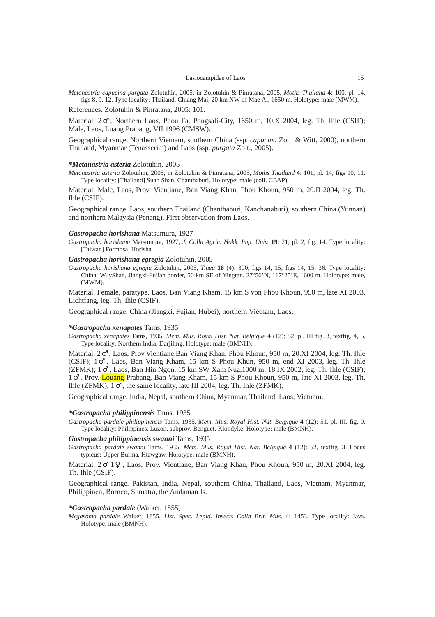*Metanastria capucina purgata* Zolotuhin, 2005, in Zolotuhin & Pinratana, 2005, *Moths Thailand* **4**: 100, pl. 14, figs 8, 9, 12. Type locality: Thailand, Chiang Mai, 20 km NW of Mae Ai, 1650 m. Holotype: male (MWM).

References. Zolotuhin & Pinratana, 2005: 101.

Material. 2 , Northern Laos, Phou Fa, Pongsali-City, 1650 m, 10.X 2004, leg. Th. Ihle (CSIF); Male, Laos, Luang Prabang, VII 1996 (CMSW).

Geographical range. Northern Vietnam, southern China (ssp. *capucina* Zolt. & Witt, 2000), northern Thailand, Myanmar (Tenasserim) and Laos (ssp. *purgata* Zolt., 2005).

#### *\*Metanastria asteria* Zolotuhin, 2005

*Metanastria asteria* Zolotuhin, 2005, in Zolotuhin & Pinratana, 2005, *Moths Thailand* **4**: 101, pl. 14, figs 10, 11. Type locality: [Thailand] Suan Shan, Chanthaburi. Holotype: male (coll. CBAP).

Material. Male, Laos, Prov. Vientiane, Ban Viang Khan, Phou Khoun, 950 m, 20.II 2004, leg. Th. Ihle (CSIF).

Geographical range. Laos, southern Thailand (Chanthaburi, Kanchanaburi), southern China (Yunnan) and northern Malaysia (Penang). First observation from Laos.

#### *Gastropacha horishana* Matsumura, 1927

*Gastropacha horishana* Matsumura, 1927, *J. Colln Agric. Hokk. Imp. Univ.* **19**: 21, pl. 2, fig. 14. Type locality: [Taiwan] Formosa, Horisha.

# *Gastropacha horishana egregia* Zolotuhin, 2005

*Gastropacha horishana egregia* Zolotuhin, 2005, *Tinea* **18** (4): 300, figs 14, 15; figs 14, 15, 36. Type locality: China, WuyShan, Jiangxi-Fujian border, 50 km SE of Yingtan, 27º56*'* N, 117º25*'*E, 1600 m. Holotype: male, (MWM).

Material. Female, paratype, Laos, Ban Viang Kham, 15 km S von Phou Khoun, 950 m, late XI 2003, Lichtfang, leg. Th. Ihle (CSIF).

Geographical range. China (Jiangxi, Fujian, Hubei), northern Vietnam, Laos.

#### *\*Gastropacha xenapates* Tams, 1935

*Gastropacha xenapates* Tams, 1935, *Mem. Mus. Royal Hist. Nat. Belgique* **4** (12): 52, pl. III fig. 3, textfig. 4, 5. Type locality: Northern India, Darjiling. Holotype: male (BMNH).

Material. 2 , Laos, Prov.Vientiane,Ban Viang Khan, Phou Khoun, 950 m, 20.XI 2004, leg. Th. Ihle (CSIF); 1 , Laos, Ban Viang Kham, 15 km S Phou Khun, 950 m, end XI 2003, leg. Th. Ihle (ZFMK); 1 , Laos, Ban Hin Ngon, 15 km SW Xam Nua,1000 m, 18.IX 2002, leg. Th. Ihle (CSIF); , Prov. Louang Prabang, Ban Viang Kham, 15 km S Phou Khoun, 950 m, late XI 2003, leg. Th. Ihle (ZFMK); 1 , the same locality, late III 2004, leg. Th. Ihle (ZFMK).

Geographical range*.* India, Nepal, southern China, Myanmar, Thailand, Laos, Vietnam.

#### *\*Gastropacha philippinensis* Tams, 1935

*Gastropacha pardale philippinensis* Tams, 1935, *Mem. Mus. Royal Hist. Nat. Belgique* **4** (12): 51, pl. III, fig. 9. Type locality: Philippines, Luzon, subprov. Benguet, Klondyke. Holotype: male (BMNH).

## *Gastropacha philippinensis swanni* Tams, 1935

*Gastropacha pardale swanni* Tams, 1935, *Mem. Mus. Royal Hist. Nat. Belgique* **4** (12): 52, textfig. 3. Locus typicus: Upper Burma, Htawgaw. Holotype: male (BMNH).

Material. 2 1 , Laos, Prov. Vientiane, Ban Viang Khan, Phou Khoun, 950 m, 20.XI 2004, leg. Th. Ihle (CSIF).

Geographical range*.* Pakistan, India, Nepal, southern China, Thailand, Laos, Vietnam, Myanmar, Philippinen, Borneo, Sumatra, the Andaman Is.

#### *\*Gastropacha pardale* (Walker, 1855)

*Megasoma pardale* Walker, 1855, *List. Spec. Lepid. Insects Colln Brit. Mus*. **4**: 1453. Type locality: Java. Holotype: male (BMNH).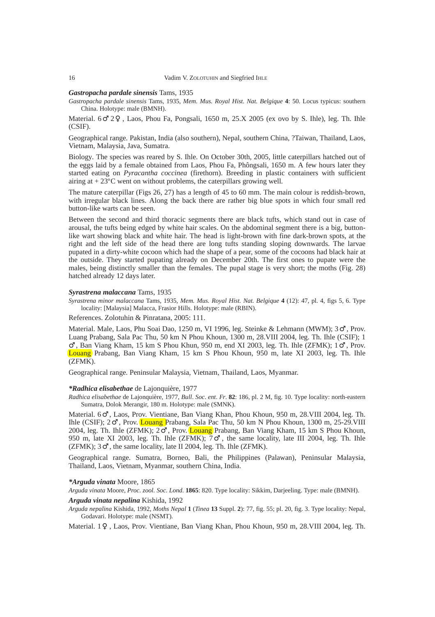# *Gastropacha pardale sinensis* Tams, 1935

*Gastropacha pardale sinensis* Tams, 1935, *Mem. Mus. Royal Hist. Nat. Belgique* **4**: 50. Locus typicus: southern China. Holotype: male (BMNH).

Material. 6 2 , Laos, Phou Fa, Pongsali, 1650 m, 25.X 2005 (ex ovo by S. Ihle), leg. Th. Ihle (CSIF).

Geographical range*.* Pakistan, India (also southern), Nepal, southern China, ?Taiwan, Thailand, Laos, Vietnam, Malaysia, Java, Sumatra.

Biology*.* The species was reared by S. Ihle. On October 30th, 2005, little caterpillars hatched out of the eggs laid by a female obtained from Laos, Phou Fa, Phôngsali, 1650 m. A few hours later they started eating on *Pyracantha coccinea* (firethorn). Breeding in plastic containers with sufficient airing at  $+ 23^{\circ}$ C went on without problems, the caterpillars growing well.

The mature caterpillar (Figs 26, 27) has a length of 45 to 60 mm. The main colour is reddish-brown, with irregular black lines. Along the back there are rather big blue spots in which four small red button-like warts can be seen.

Between the second and third thoracic segments there are black tufts, which stand out in case of arousal, the tufts being edged by white hair scales. On the abdominal segment there is a big, buttonlike wart showing black and white hair. The head is light-brown with fine dark-brown spots, at the right and the left side of the head there are long tufts standing sloping downwards. The larvae pupated in a dirty-white cocoon which had the shape of a pear, some of the cocoons had black hair at the outside. They started pupating already on December 20th. The first ones to pupate were the males, being distinctly smaller than the females. The pupal stage is very short; the moths (Fig. 28) hatched already 12 days later.

#### *Syrastrena malaccana* Tams, 1935

*Syrastrena minor malaccana* Tams, 1935, *Mem. Mus. Royal Hist. Nat. Belgique* **4** (12): 47, pl. 4, figs 5, 6. Type locality: [Malaysia] Malacca, Frasior Hills. Holotype: male (RBIN).

References. Zolotuhin & Pinratana, 2005: 111.

Material. Male, Laos, Phu Soai Dao, 1250 m, VI 1996, leg. Steinke & Lehmann (MWM); 3 , Prov. Luang Prabang, Sala Pac Thu, 50 km N Phou Khoun, 1300 m, 28.VIII 2004, leg. Th. Ihle (CSIF); 1

, Ban Viang Kham, 15 km S Phou Khun, 950 m, end XI 2003, leg. Th. Ihle (ZFMK); 1 , Prov. Louang Prabang, Ban Viang Kham, 15 km S Phou Khoun, 950 m, late XI 2003, leg. Th. Ihle (ZFMK).

Geographical range*.* Peninsular Malaysia, Vietnam, Thailand, Laos, Myanmar.

#### *\*Radhica elisabethae* de Lajonquière, 1977

*Radhica elisabethae* de Lajonquière, 1977, *Bull*. *Soc*. *ent*. *Fr*. **82**: 186, pl. 2 M, fig. 10. Type locality: north-eastern Sumatra, Dolok Merangir, 180 m. Holotype: male (SMNK).

Material. 6 , Laos, Prov. Vientiane, Ban Viang Khan, Phou Khoun, 950 m, 28.VIII 2004, leg. Th. Ihle (CSIF); 2 , Prov. Louang Prabang, Sala Pac Thu, 50 km N Phou Khoun, 1300 m, 25-29.VIII 2004, leg. Th. Ihle (ZFMK); 2 , Prov. Louang Prabang, Ban Viang Kham, 15 km S Phou Khoun, 950 m, late XI 2003, leg. Th. Ihle (ZFMK); 7 , the same locality, late III 2004, leg. Th. Ihle (ZFMK); 3 , the same locality, late II 2004, leg. Th. Ihle (ZFMK).

Geographical range*.* Sumatra, Borneo, Bali, the Philippines (Palawan), Peninsular Malaysia, Thailand, Laos, Vietnam, Myanmar, southern China, India.

# *\*Arguda vinata* Moore, 1865

*Arguda vinata* Moore, *Proc. zool. Soc. Lond.* **1865**: 820. Type locality: Sikkim, Darjeeling. Type: male (BMNH).

# *Arguda vinata nepalina* Kishida, 1992

*Arguda nepalina* Kishida, 1992, *Moths Nepal* **1** (*Tinea* **13** Suppl. **2**): 77, fig. 55; pl. 20, fig. 3. Type locality: Nepal, Godavari. Holotype: male (NSMT).

Material. 1 , Laos, Prov. Vientiane, Ban Viang Khan, Phou Khoun, 950 m, 28.VIII 2004, leg. Th.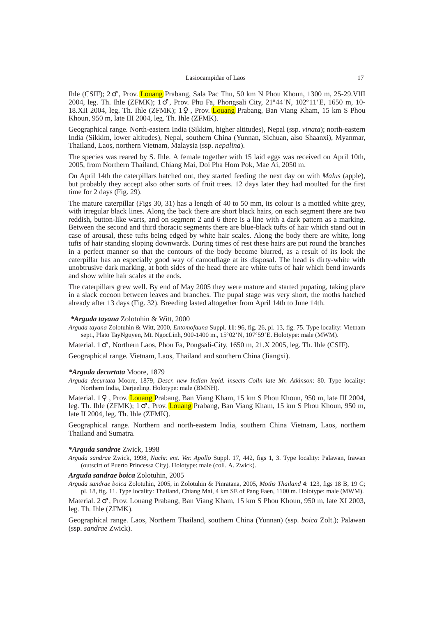Ihle (CSIF); 2 , Prov. Louang Prabang, Sala Pac Thu, 50 km N Phou Khoun, 1300 m, 25-29.VIII 2004, leg. Th. Ihle (ZFMK); 1 , Prov. Phu Fa, Phongsali City, 21º44*'* N, 102º11*'*E, 1650 m, 10- 18.XII 2004, leg. Th. Ihle (ZFMK); 1 , Prov. Louang Prabang, Ban Viang Kham, 15 km S Phou Khoun, 950 m, late III 2004, leg. Th. Ihle (ZFMK).

Geographical range*.* North-eastern India (Sikkim, higher altitudes), Nepal (ssp. *vinata*); north-eastern India (Sikkim, lower altitudes), Nepal, southern China (Yunnan, Sichuan, also Shaanxi), Myanmar, Thailand, Laos, northern Vietnam, Malaysia (ssp. *nepalina*).

The species was reared by S. Ihle. A female together with 15 laid eggs was received on April 10th, 2005, from Northern Thailand, Chiang Mai, Doi Pha Hom Pok, Mae Ai, 2050 m.

On April 14th the caterpillars hatched out, they started feeding the next day on with *Malus* (apple), but probably they accept also other sorts of fruit trees. 12 days later they had moulted for the first time for 2 days (Fig. 29).

The mature caterpillar (Figs 30, 31) has a length of 40 to 50 mm, its colour is a mottled white grey, with irregular black lines. Along the back there are short black hairs, on each segment there are two reddish, button-like warts, and on segment 2 and 6 there is a line with a dark pattern as a marking. Between the second and third thoracic segments there are blue-black tufts of hair which stand out in case of arousal, these tufts being edged by white hair scales. Along the body there are white, long tufts of hair standing sloping downwards. During times of rest these hairs are put round the branches in a perfect manner so that the contours of the body become blurred, as a result of its look the caterpillar has an especially good way of camouflage at its disposal. The head is dirty-white with unobtrusive dark marking, at both sides of the head there are white tufts of hair which bend inwards and show white hair scales at the ends.

The caterpillars grew well. By end of May 2005 they were mature and started pupating, taking place in a slack cocoon between leaves and branches. The pupal stage was very short, the moths hatched already after 13 days (Fig. 32). Breeding lasted altogether from April 14th to June 14th.

## *\*Arguda tayana* Zolotuhin & Witt, 2000

*Arguda tayana* Zolotuhin & Witt, 2000, *Entomofauna* Suppl. **11**: 96, fig. 26, pl. 13, fig. 75. Type locality: Vietnam sept., Plato TayNguyen, Mt. NgocLinh, 900-1400 m., 15º02*'* N, 107º59*'*E. Holotype: male (MWM).

Material. 1 , Northern Laos, Phou Fa, Pongsali-City, 1650 m, 21.X 2005, leg. Th. Ihle (CSIF).

Geographical range*.* Vietnam, Laos, Thailand and southern China (Jiangxi).

# *\*Arguda decurtata* Moore, 1879

*Arguda decurtata* Moore, 1879, *Descr. new Indian lepid. insects Colln late Mr. Atkinson*: 80. Type locality: Northern India, Darjeeling. Holotype: male (BMNH).

Material. 1 , Prov. Louang Prabang, Ban Viang Kham, 15 km S Phou Khoun, 950 m, late III 2004, leg. Th. Ihle (ZFMK); 1 , Prov. Louang Prabang, Ban Viang Kham, 15 km S Phou Khoun, 950 m, late II 2004, leg. Th. Ihle (ZFMK).

Geographical range. Northern and north-eastern India, southern China Vietnam, Laos, northern Thailand and Sumatra.

#### *\*Arguda sandrae* Zwick, 1998

*Arguda sandrae* Zwick, 1998, *Nachr. ent. Ver. Apollo* Suppl. 17, 442, figs 1, 3. Type locality: Palawan, Irawan (outscirt of Puerto Princessa City). Holotype: male (coll. A. Zwick).

## *Arguda sandrae boica* Zolotuhin, 2005

*Arguda sandrae boica* Zolotuhin, 2005, in Zolotuhin & Pinratana, 2005, *Moths Thailand* **4**: 123, figs 18 B, 19 C; pl. 18, fig. 11. Type locality: Thailand, Chiang Mai, 4 km SE of Pang Faen, 1100 m. Holotype: male (MWM).

Material. 2 , Prov. Louang Prabang, Ban Viang Kham, 15 km S Phou Khoun, 950 m, late XI 2003, leg. Th. Ihle (ZFMK).

Geographical range*.* Laos, Northern Thailand, southern China (Yunnan) (ssp. *boica* Zolt.); Palawan (ssp. *sandrae* Zwick).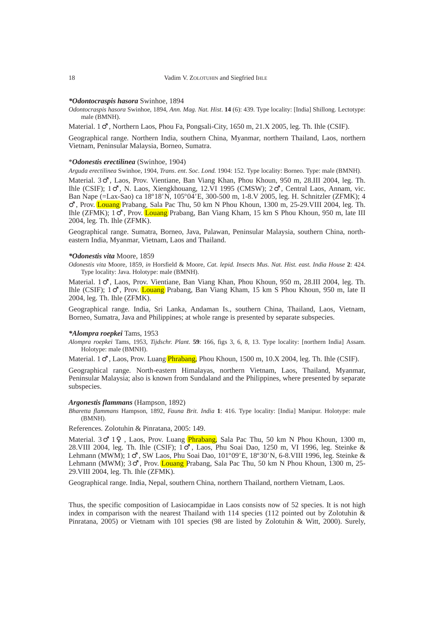# *\*Odontocraspis hasora* Swinhoe, 1894

*Odontocraspis hasora* Swinhoe, 1894, *Ann. Mag. Nat. Hist*. **14** (6): 439. Type locality: [India] Shillong. Lectotype: male (BMNH).

Material. 1 , Northern Laos, Phou Fa, Pongsali-City, 1650 m, 21.X 2005, leg. Th. Ihle (CSIF).

Geographical range*.* Northern India, southern China, Myanmar, northern Thailand, Laos, northern Vietnam, Peninsular Malaysia, Borneo, Sumatra.

# \**Odonestis erectilinea* (Swinhoe, 1904)

*Arguda erectilinea* Swinhoe, 1904, *Trans*. *ent*. *Soc*. *Lond.* 1904: 152. Type locality: Borneo. Type: male (BMNH).

Material. 3 , Laos, Prov. Vientiane, Ban Viang Khan, Phou Khoun, 950 m, 28.III 2004, leg. Th. Ihle (CSIF); 1 , N. Laos, Xiengkhouang, 12.VI 1995 (CMSW); 2 , Central Laos, Annam, vic. Ban Nape (=Lax-Sao) ca 18º18*'* N, 105º04*'*E, 300-500 m, 1-8.V 2005, leg. H. Schnitzler (ZFMK); 4

, Prov. Louang Prabang, Sala Pac Thu, 50 km N Phou Khoun, 1300 m, 25-29.VIII 2004, leg. Th. Ihle (ZFMK); 1 , Prov. Louang Prabang, Ban Viang Kham, 15 km S Phou Khoun, 950 m, late III 2004, leg. Th. Ihle (ZFMK).

Geographical range. Sumatra, Borneo, Java, Palawan, Peninsular Malaysia, southern China, northeastern India, Myanmar, Vietnam, Laos and Thailand.

# *\*Odonestis vita* Moore, 1859

*Odonestis vita* Moore, 1859, *in* Horsfield & Moore, *Cat. lepid. Insects Mus. Nat. Hist. east. India House* **2**: 424. Type locality: Java. Holotype: male (BMNH).

Material. 1 , Laos, Prov. Vientiane, Ban Viang Khan, Phou Khoun, 950 m, 28.III 2004, leg. Th. Ihle (CSIF); 1 , Prov. Louang Prabang, Ban Viang Kham, 15 km S Phou Khoun, 950 m, late II 2004, leg. Th. Ihle (ZFMK).

Geographical range*.* India, Sri Lanka, Andaman Is., southern China, Thailand, Laos, Vietnam, Borneo, Sumatra, Java and Philippines; at whole range is presented by separate subspecies.

### *\*Alompra roepkei* Tams, 1953

*Alompra roepkei* Tams, 1953, *Tijdschr. Plant*. **59**: 166, figs 3, 6, 8, 13. Type locality: [northern India] Assam. Holotype: male (BMNH).

Material. 1 , Laos, Prov. Luang *Phrabang*, Phou Khoun, 1500 m, 10.X 2004, leg. Th. Ihle (CSIF).

Geographical range*.* North-eastern Himalayas, northern Vietnam, Laos, Thailand, Myanmar, Peninsular Malaysia; also is known from Sundaland and the Philippines, where presented by separate subspecies.

# *Argonestis flammans* (Hampson, 1892)

*Bharetta flammans* Hampson, 1892, *Fauna Brit. India* **1**: 416. Type locality: [India] Manipur. Holotype: male (BMNH).

References*.* Zolotuhin & Pinratana, 2005: 149.

Material. 3 1, Laos, Prov. Luang *Phrabang*, Sala Pac Thu, 50 km N Phou Khoun, 1300 m, 28.VIII 2004, leg. Th. Ihle (CSIF); 1 , Laos, Phu Soai Dao, 1250 m, VI 1996, leg. Steinke & Lehmann (MWM); 1 , SW Laos, Phu Soai Dao, 101º09*'*E, 18º30*'* N, 6-8.VIII 1996, leg. Steinke & Lehmann (MWM); 3 , Prov. Louang Prabang, Sala Pac Thu, 50 km N Phou Khoun, 1300 m, 25-29.VIII 2004, leg. Th. Ihle (ZFMK).

Geographical range*.* India, Nepal, southern China, northern Thailand, northern Vietnam, Laos.

Thus, the specific composition of Lasiocampidae in Laos consists now of 52 species. It is not high index in comparison with the nearest Thailand with 114 species (112 pointed out by Zolotuhin  $\&$ Pinratana, 2005) or Vietnam with 101 species (98 are listed by Zolotuhin & Witt, 2000). Surely,